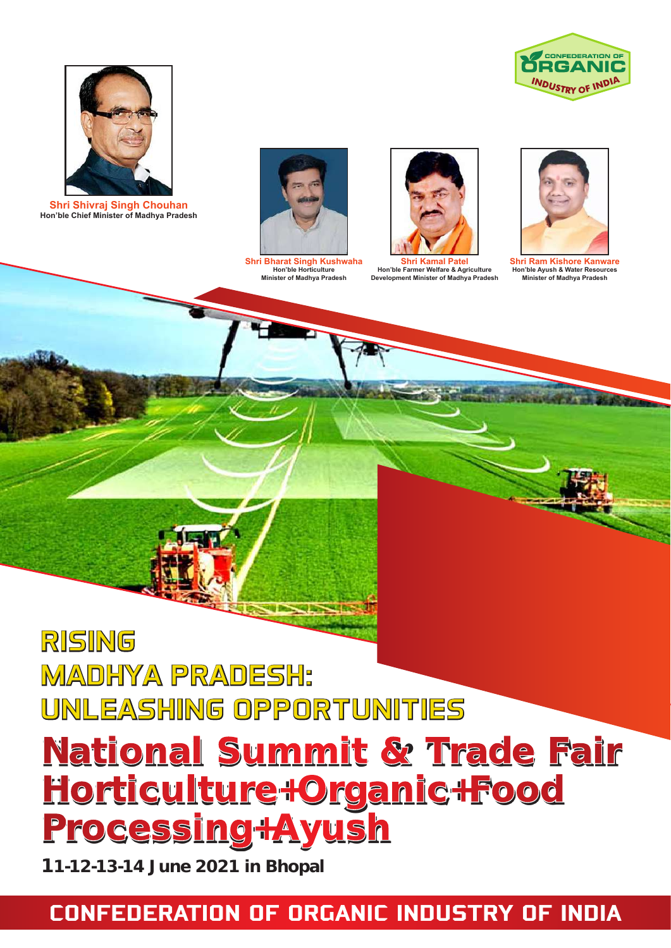



**Shri Shivraj Singh Chouhan Hon'ble Chief Minister of Madhya Pradesh**



**Shri Bharat Singh Kushwaha Hon'ble Horticulture Minister of Madhya Pradesh**



**Shri Kamal Patel Hon'ble Farmer Welfare & Agriculture Development Minister of Madhya Pradesh**



**Shri Ram Kishore Kanware Hon'ble Ayush & Water Resources Minister of Madhya Pradesh**

## RISING MADHYA PRADESH: UNLEASHING OPPORTUNITIES

# **National Summit & Trade Fair Horticulture+Organic+Food Processing+Ayush**

**11-12-13-14 June 2021 in Bhopal**

## CONFEDERATION OF ORGANIC INDUSTRY OF INDIA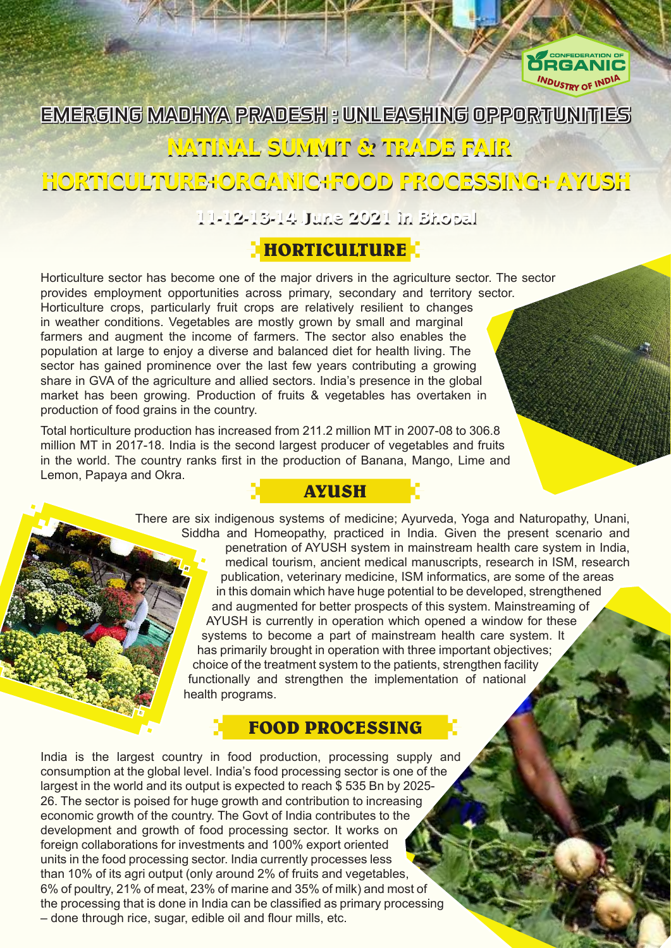

## EMERGING MADHYA PRADESH : UNLEASHING OPPORTUNITIES

#### **NATINAL SUMMIT & TRADE FAIR**

### **HORTICULTURE+ORGANIC+FOOD PROCESSING+ AYUSH**

**11-12-13-14 June 2021 in Bhopal**

#### **HORTICULTURE**

Horticulture sector has become one of the major drivers in the agriculture sector. The sector provides employment opportunities across primary, secondary and territory sector. Horticulture crops, particularly fruit crops are relatively resilient to changes in weather conditions. Vegetables are mostly grown by small and marginal farmers and augment the income of farmers. The sector also enables the population at large to enjoy a diverse and balanced diet for health living. The sector has gained prominence over the last few years contributing a growing share in GVA of the agriculture and allied sectors. India's presence in the global market has been growing. Production of fruits & vegetables has overtaken in production of food grains in the country.

Total horticulture production has increased from 211.2 million MT in 2007-08 to 306.8 million MT in 2017-18. India is the second largest producer of vegetables and fruits in the world. The country ranks first in the production of Banana, Mango, Lime and Lemon, Papaya and Okra. **AYUSH**

> There are six indigenous systems of medicine; Ayurveda, Yoga and Naturopathy, Unani, Siddha and Homeopathy, practiced in India. Given the present scenario and penetration of AYUSH system in mainstream health care system in India, medical tourism, ancient medical manuscripts, research in ISM, research publication, veterinary medicine, ISM informatics, are some of the areas in this domain which have huge potential to be developed, strengthened and augmented for better prospects of this system. Mainstreaming of AYUSH is currently in operation which opened a window for these systems to become a part of mainstream health care system. It has primarily brought in operation with three important objectives; choice of the treatment system to the patients, strengthen facility functionally and strengthen the implementation of national health programs.

#### **FOOD PROCESSING**

India is the largest country in food production, processing supply and consumption at the global level. India's food processing sector is one of the largest in the world and its output is expected to reach \$ 535 Bn by 2025- 26. The sector is poised for huge growth and contribution to increasing economic growth of the country. The Govt of India contributes to the development and growth of food processing sector. It works on foreign collaborations for investments and 100% export oriented units in the food processing sector. India currently processes less than 10% of its agri output (only around 2% of fruits and vegetables, 6% of poultry, 21% of meat, 23% of marine and 35% of milk) and most of the processing that is done in India can be classified as primary processing – done through rice, sugar, edible oil and flour mills, etc.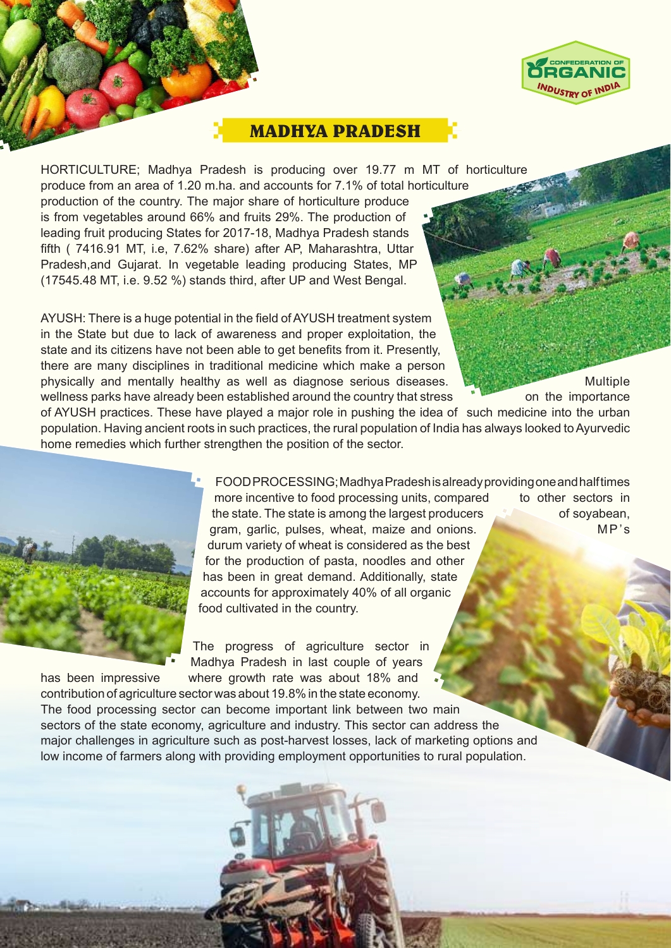

#### **MADHYA PRADESH**

HORTICULTURE; Madhya Pradesh is producing over 19.77 m MT of horticulture produce from an area of 1.20 m.ha. and accounts for 7.1% of total horticulture production of the country. The major share of horticulture produce is from vegetables around 66% and fruits 29%. The production of leading fruit producing States for 2017-18, Madhya Pradesh stands fifth ( 7416.91 MT, i.e, 7.62% share) after AP, Maharashtra, Uttar Pradesh,and Gujarat. In vegetable leading producing States, MP (17545.48 MT, i.e. 9.52 %) stands third, after UP and West Bengal.

AYUSH: There is a huge potential in the field of AYUSH treatment system in the State but due to lack of awareness and proper exploitation, the state and its citizens have not been able to get benefits from it. Presently, there are many disciplines in traditional medicine which make a person physically and mentally healthy as well as diagnose serious diseases. Multiple wellness parks have already been established around the country that stress on the importance

of AYUSH practices. These have played a major role in pushing the idea of such medicine into the urban population. Having ancient roots in such practices, the rural population of India has always looked to Ayurvedic home remedies which further strengthen the position of the sector.



FOOD PROCESSING; Madhya Pradesh is already providing one and half times more incentive to food processing units, compared to other sectors in the state. The state is among the largest producers of soyabean, gram, garlic, pulses, wheat, maize and onions. MP's durum variety of wheat is considered as the best for the production of pasta, noodles and other has been in great demand. Additionally, state accounts for approximately 40% of all organic food cultivated in the country.

The progress of agriculture sector in Madhya Pradesh in last couple of years has been impressive where growth rate was about 18% and

contribution of agriculture sector was about 19.8% in the state economy. The food processing sector can become important link between two main sectors of the state economy, agriculture and industry. This sector can address the major challenges in agriculture such as post-harvest losses, lack of marketing options and low income of farmers along with providing employment opportunities to rural population.